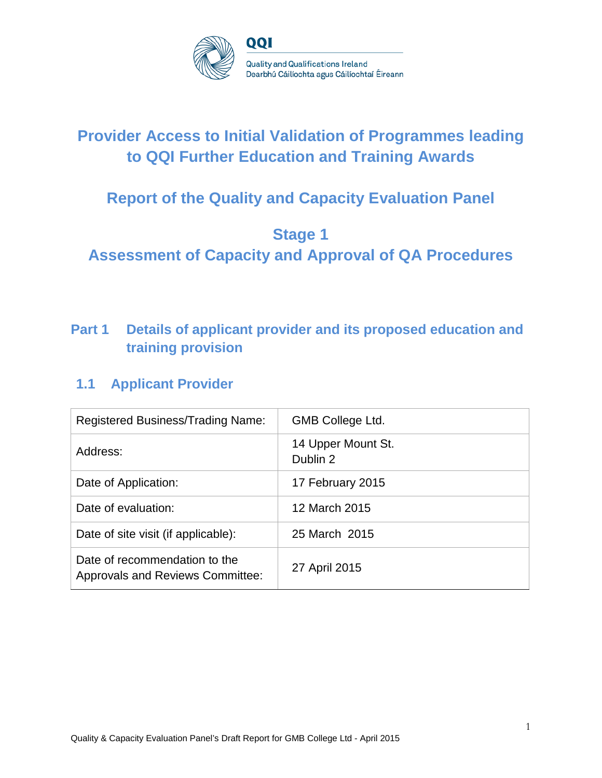

# **Provider Access to Initial Validation of Programmes leading to QQI Further Education and Training Awards**

# **Report of the Quality and Capacity Evaluation Panel**

# **Stage 1**

**Assessment of Capacity and Approval of QA Procedures**

# **Part 1 Details of applicant provider and its proposed education and training provision**

# **1.1 Applicant Provider**

| Registered Business/Trading Name:                                        | <b>GMB College Ltd.</b>        |
|--------------------------------------------------------------------------|--------------------------------|
| Address:                                                                 | 14 Upper Mount St.<br>Dublin 2 |
| Date of Application:                                                     | 17 February 2015               |
| Date of evaluation:                                                      | 12 March 2015                  |
| Date of site visit (if applicable):                                      | 25 March 2015                  |
| Date of recommendation to the<br><b>Approvals and Reviews Committee:</b> | 27 April 2015                  |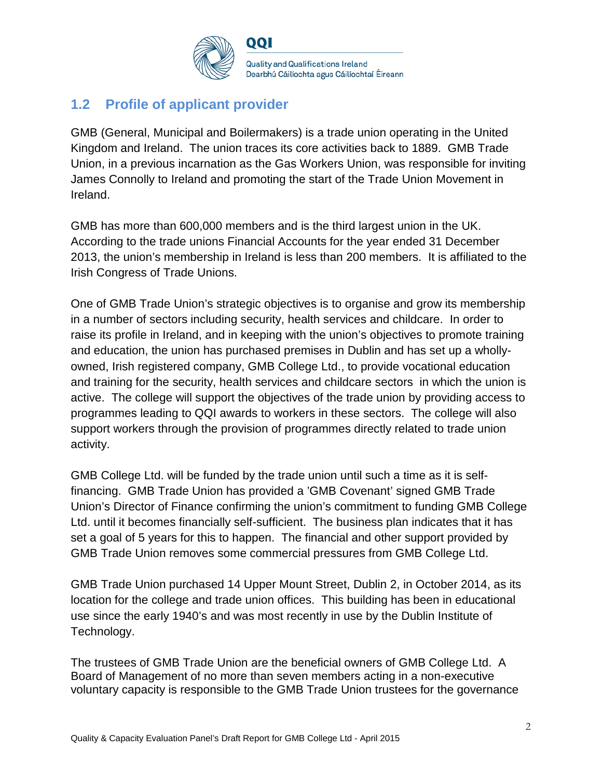

QQI

**Quality and Qualifications Ireland** Dearbhú Cáilíochta agus Cáilíochtaí Éireann

# **1.2 Profile of applicant provider**

GMB (General, Municipal and Boilermakers) is a trade union operating in the United Kingdom and Ireland. The union traces its core activities back to 1889. GMB Trade Union, in a previous incarnation as the Gas Workers Union, was responsible for inviting James Connolly to Ireland and promoting the start of the Trade Union Movement in Ireland.

GMB has more than 600,000 members and is the third largest union in the UK. According to the trade unions Financial Accounts for the year ended 31 December 2013, the union's membership in Ireland is less than 200 members. It is affiliated to the Irish Congress of Trade Unions.

One of GMB Trade Union's strategic objectives is to organise and grow its membership in a number of sectors including security, health services and childcare. In order to raise its profile in Ireland, and in keeping with the union's objectives to promote training and education, the union has purchased premises in Dublin and has set up a whollyowned, Irish registered company, GMB College Ltd., to provide vocational education and training for the security, health services and childcare sectors in which the union is active. The college will support the objectives of the trade union by providing access to programmes leading to QQI awards to workers in these sectors. The college will also support workers through the provision of programmes directly related to trade union activity.

GMB College Ltd. will be funded by the trade union until such a time as it is selffinancing. GMB Trade Union has provided a 'GMB Covenant' signed GMB Trade Union's Director of Finance confirming the union's commitment to funding GMB College Ltd. until it becomes financially self-sufficient. The business plan indicates that it has set a goal of 5 years for this to happen. The financial and other support provided by GMB Trade Union removes some commercial pressures from GMB College Ltd.

GMB Trade Union purchased 14 Upper Mount Street, Dublin 2, in October 2014, as its location for the college and trade union offices. This building has been in educational use since the early 1940's and was most recently in use by the Dublin Institute of Technology.

The trustees of GMB Trade Union are the beneficial owners of GMB College Ltd. A Board of Management of no more than seven members acting in a non-executive voluntary capacity is responsible to the GMB Trade Union trustees for the governance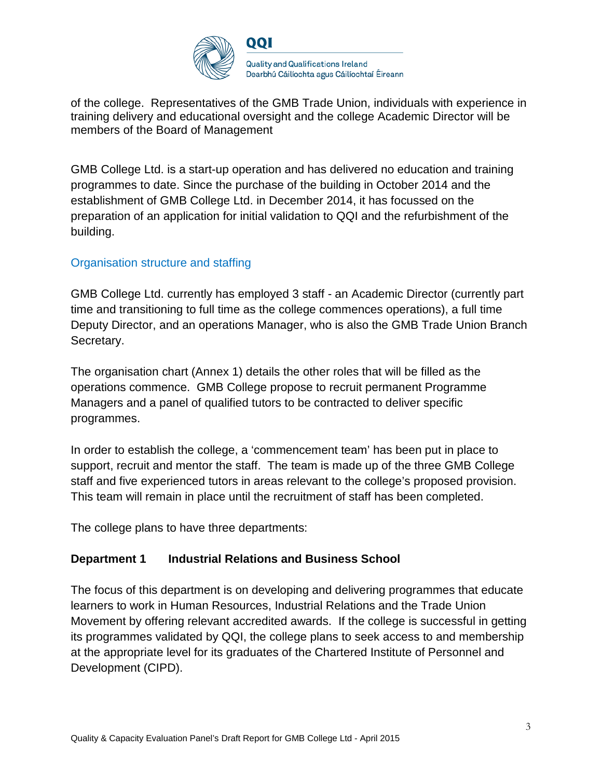

of the college. Representatives of the GMB Trade Union, individuals with experience in training delivery and educational oversight and the college Academic Director will be members of the Board of Management

GMB College Ltd. is a start-up operation and has delivered no education and training programmes to date. Since the purchase of the building in October 2014 and the establishment of GMB College Ltd. in December 2014, it has focussed on the preparation of an application for initial validation to QQI and the refurbishment of the building.

### Organisation structure and staffing

GMB College Ltd. currently has employed 3 staff - an Academic Director (currently part time and transitioning to full time as the college commences operations), a full time Deputy Director, and an operations Manager, who is also the GMB Trade Union Branch Secretary.

The organisation chart (Annex 1) details the other roles that will be filled as the operations commence. GMB College propose to recruit permanent Programme Managers and a panel of qualified tutors to be contracted to deliver specific programmes.

In order to establish the college, a 'commencement team' has been put in place to support, recruit and mentor the staff. The team is made up of the three GMB College staff and five experienced tutors in areas relevant to the college's proposed provision. This team will remain in place until the recruitment of staff has been completed.

The college plans to have three departments:

#### **Department 1 Industrial Relations and Business School**

The focus of this department is on developing and delivering programmes that educate learners to work in Human Resources, Industrial Relations and the Trade Union Movement by offering relevant accredited awards. If the college is successful in getting its programmes validated by QQI, the college plans to seek access to and membership at the appropriate level for its graduates of the Chartered Institute of Personnel and Development (CIPD).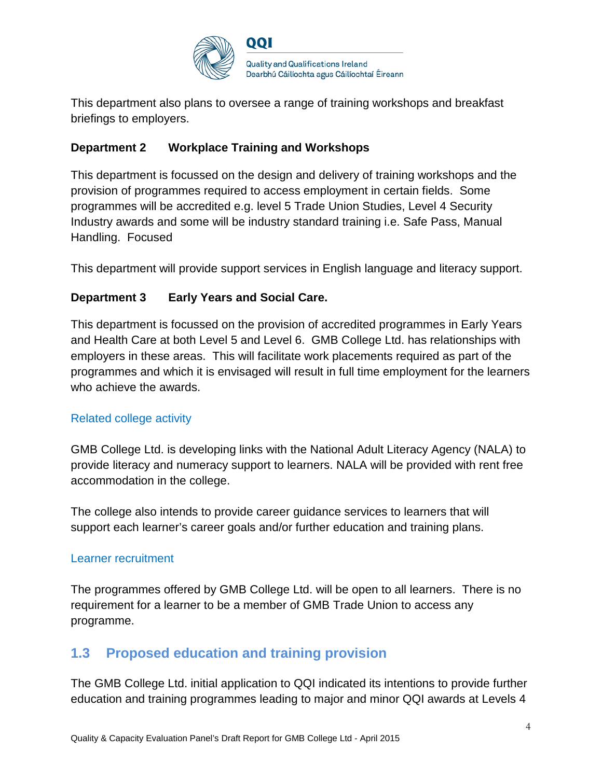

This department also plans to oversee a range of training workshops and breakfast briefings to employers.

## **Department 2 Workplace Training and Workshops**

This department is focussed on the design and delivery of training workshops and the provision of programmes required to access employment in certain fields. Some programmes will be accredited e.g. level 5 Trade Union Studies, Level 4 Security Industry awards and some will be industry standard training i.e. Safe Pass, Manual Handling. Focused

This department will provide support services in English language and literacy support.

## **Department 3 Early Years and Social Care.**

This department is focussed on the provision of accredited programmes in Early Years and Health Care at both Level 5 and Level 6. GMB College Ltd. has relationships with employers in these areas. This will facilitate work placements required as part of the programmes and which it is envisaged will result in full time employment for the learners who achieve the awards.

### Related college activity

GMB College Ltd. is developing links with the National Adult Literacy Agency (NALA) to provide literacy and numeracy support to learners. NALA will be provided with rent free accommodation in the college.

The college also intends to provide career guidance services to learners that will support each learner's career goals and/or further education and training plans.

### Learner recruitment

The programmes offered by GMB College Ltd. will be open to all learners. There is no requirement for a learner to be a member of GMB Trade Union to access any programme.

# **1.3 Proposed education and training provision**

The GMB College Ltd. initial application to QQI indicated its intentions to provide further education and training programmes leading to major and minor QQI awards at Levels 4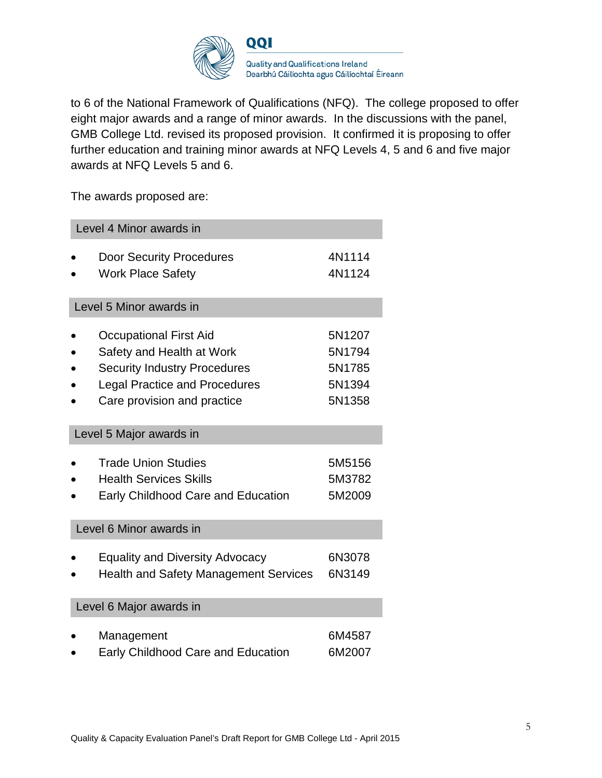

to 6 of the National Framework of Qualifications (NFQ). The college proposed to offer eight major awards and a range of minor awards. In the discussions with the panel, GMB College Ltd. revised its proposed provision. It confirmed it is proposing to offer further education and training minor awards at NFQ Levels 4, 5 and 6 and five major awards at NFQ Levels 5 and 6.

The awards proposed are:

| Level 4 Minor awards in                      |        |  |
|----------------------------------------------|--------|--|
| <b>Door Security Procedures</b>              | 4N1114 |  |
| <b>Work Place Safety</b>                     | 4N1124 |  |
| Level 5 Minor awards in                      |        |  |
| <b>Occupational First Aid</b>                | 5N1207 |  |
| Safety and Health at Work                    | 5N1794 |  |
| <b>Security Industry Procedures</b>          | 5N1785 |  |
| <b>Legal Practice and Procedures</b>         | 5N1394 |  |
| Care provision and practice                  | 5N1358 |  |
| Level 5 Major awards in                      |        |  |
| <b>Trade Union Studies</b>                   | 5M5156 |  |
| <b>Health Services Skills</b>                | 5M3782 |  |
| Early Childhood Care and Education           | 5M2009 |  |
| Level 6 Minor awards in                      |        |  |
| <b>Equality and Diversity Advocacy</b>       | 6N3078 |  |
| <b>Health and Safety Management Services</b> | 6N3149 |  |
| Level 6 Major awards in                      |        |  |
| Management                                   | 6M4587 |  |
| <b>Early Childhood Care and Education</b>    | 6M2007 |  |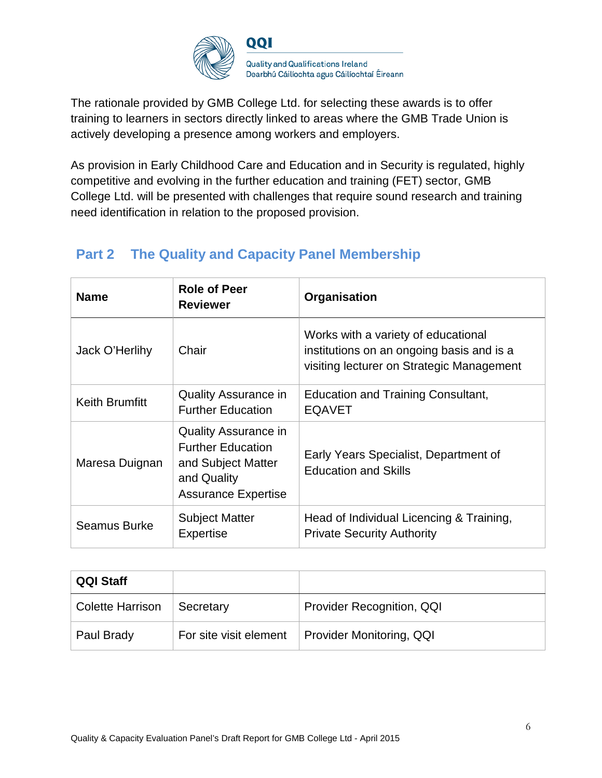

The rationale provided by GMB College Ltd. for selecting these awards is to offer training to learners in sectors directly linked to areas where the GMB Trade Union is actively developing a presence among workers and employers.

As provision in Early Childhood Care and Education and in Security is regulated, highly competitive and evolving in the further education and training (FET) sector, GMB College Ltd. will be presented with challenges that require sound research and training need identification in relation to the proposed provision.

# **Part 2 The Quality and Capacity Panel Membership**

| <b>Name</b>           | <b>Role of Peer</b><br><b>Reviewer</b>                                                                                     | Organisation                                                                                                                  |
|-----------------------|----------------------------------------------------------------------------------------------------------------------------|-------------------------------------------------------------------------------------------------------------------------------|
| Jack O'Herlihy        | Chair                                                                                                                      | Works with a variety of educational<br>institutions on an ongoing basis and is a<br>visiting lecturer on Strategic Management |
| <b>Keith Brumfitt</b> | <b>Quality Assurance in</b><br><b>Further Education</b>                                                                    | <b>Education and Training Consultant,</b><br><b>EQAVET</b>                                                                    |
| Maresa Duignan        | <b>Quality Assurance in</b><br><b>Further Education</b><br>and Subject Matter<br>and Quality<br><b>Assurance Expertise</b> | Early Years Specialist, Department of<br><b>Education and Skills</b>                                                          |
| Seamus Burke          | <b>Subject Matter</b><br><b>Expertise</b>                                                                                  | Head of Individual Licencing & Training,<br><b>Private Security Authority</b>                                                 |

| <b>QQI Staff</b>        |                        |                           |
|-------------------------|------------------------|---------------------------|
| <b>Colette Harrison</b> | Secretary              | Provider Recognition, QQI |
| Paul Brady              | For site visit element | Provider Monitoring, QQI  |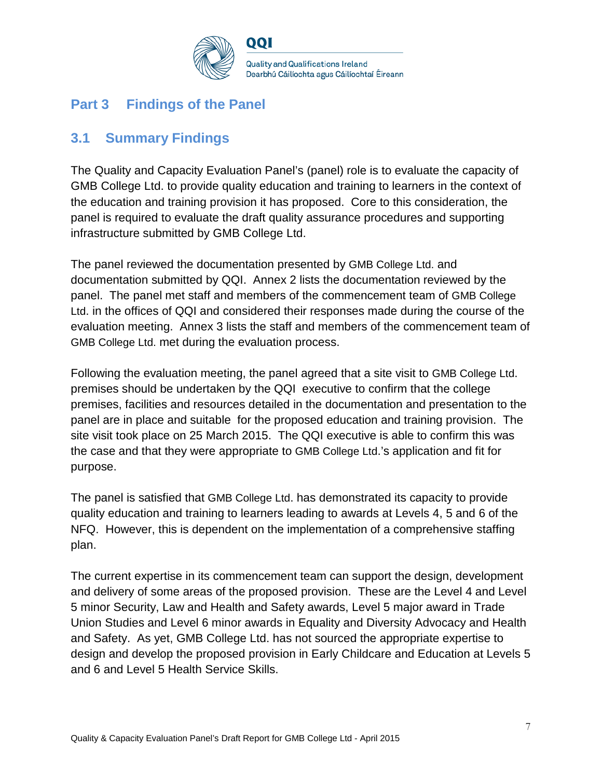

# **Part 3 Findings of the Panel**

## **3.1 Summary Findings**

The Quality and Capacity Evaluation Panel's (panel) role is to evaluate the capacity of GMB College Ltd. to provide quality education and training to learners in the context of the education and training provision it has proposed. Core to this consideration, the panel is required to evaluate the draft quality assurance procedures and supporting infrastructure submitted by GMB College Ltd.

The panel reviewed the documentation presented by GMB College Ltd. and documentation submitted by QQI. Annex 2 lists the documentation reviewed by the panel. The panel met staff and members of the commencement team of GMB College Ltd. in the offices of QQI and considered their responses made during the course of the evaluation meeting. Annex 3 lists the staff and members of the commencement team of GMB College Ltd. met during the evaluation process.

Following the evaluation meeting, the panel agreed that a site visit to GMB College Ltd. premises should be undertaken by the QQI executive to confirm that the college premises, facilities and resources detailed in the documentation and presentation to the panel are in place and suitable for the proposed education and training provision. The site visit took place on 25 March 2015. The QQI executive is able to confirm this was the case and that they were appropriate to GMB College Ltd.'s application and fit for purpose.

The panel is satisfied that GMB College Ltd. has demonstrated its capacity to provide quality education and training to learners leading to awards at Levels 4, 5 and 6 of the NFQ. However, this is dependent on the implementation of a comprehensive staffing plan.

The current expertise in its commencement team can support the design, development and delivery of some areas of the proposed provision. These are the Level 4 and Level 5 minor Security, Law and Health and Safety awards, Level 5 major award in Trade Union Studies and Level 6 minor awards in Equality and Diversity Advocacy and Health and Safety. As yet, GMB College Ltd. has not sourced the appropriate expertise to design and develop the proposed provision in Early Childcare and Education at Levels 5 and 6 and Level 5 Health Service Skills.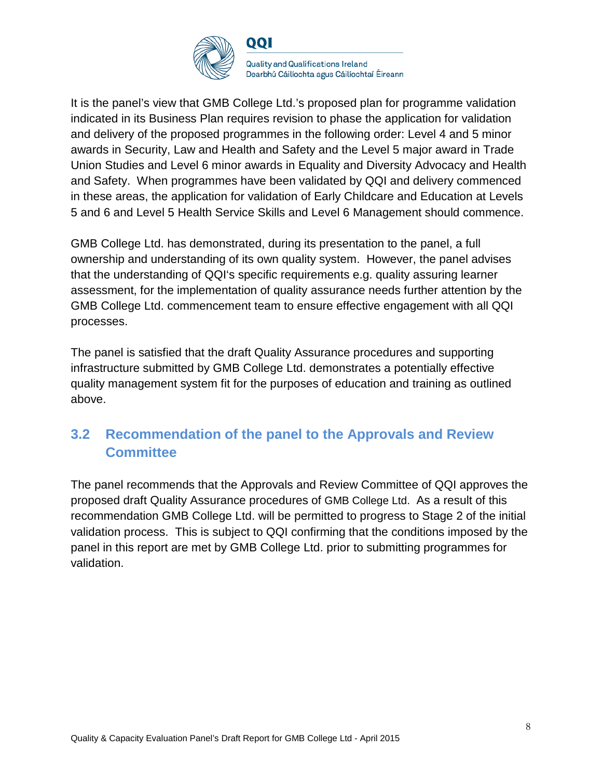

It is the panel's view that GMB College Ltd.'s proposed plan for programme validation indicated in its Business Plan requires revision to phase the application for validation and delivery of the proposed programmes in the following order: Level 4 and 5 minor awards in Security, Law and Health and Safety and the Level 5 major award in Trade Union Studies and Level 6 minor awards in Equality and Diversity Advocacy and Health and Safety. When programmes have been validated by QQI and delivery commenced in these areas, the application for validation of Early Childcare and Education at Levels 5 and 6 and Level 5 Health Service Skills and Level 6 Management should commence.

GMB College Ltd. has demonstrated, during its presentation to the panel, a full ownership and understanding of its own quality system. However, the panel advises that the understanding of QQI's specific requirements e.g. quality assuring learner assessment, for the implementation of quality assurance needs further attention by the GMB College Ltd. commencement team to ensure effective engagement with all QQI processes.

The panel is satisfied that the draft Quality Assurance procedures and supporting infrastructure submitted by GMB College Ltd. demonstrates a potentially effective quality management system fit for the purposes of education and training as outlined above.

# **3.2 Recommendation of the panel to the Approvals and Review Committee**

The panel recommends that the Approvals and Review Committee of QQI approves the proposed draft Quality Assurance procedures of GMB College Ltd. As a result of this recommendation GMB College Ltd. will be permitted to progress to Stage 2 of the initial validation process. This is subject to QQI confirming that the conditions imposed by the panel in this report are met by GMB College Ltd. prior to submitting programmes for validation.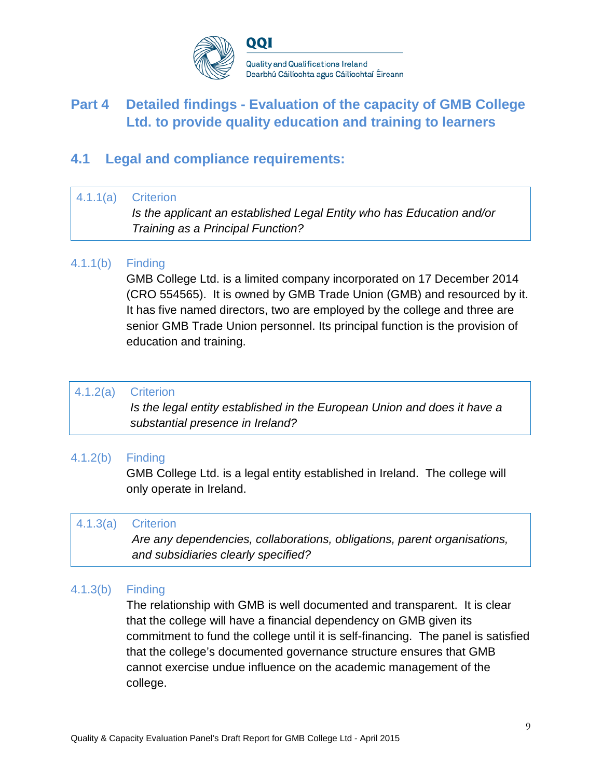

# **Part 4 Detailed findings - Evaluation of the capacity of GMB College Ltd. to provide quality education and training to learners**

## **4.1 Legal and compliance requirements:**

#### 4.1.1(a) Criterion

*Is the applicant an established Legal Entity who has Education and/or Training as a Principal Function?*

## 4.1.1(b) Finding

GMB College Ltd. is a limited company incorporated on 17 December 2014 (CRO 554565). It is owned by GMB Trade Union (GMB) and resourced by it. It has five named directors, two are employed by the college and three are senior GMB Trade Union personnel. Its principal function is the provision of education and training.

### 4.1.2(a) Criterion

*Is the legal entity established in the European Union and does it have a substantial presence in Ireland?*

### 4.1.2(b) Finding

GMB College Ltd. is a legal entity established in Ireland. The college will only operate in Ireland.

#### 4.1.3(a) Criterion

*Are any dependencies, collaborations, obligations, parent organisations, and subsidiaries clearly specified?*

### 4.1.3(b) Finding

The relationship with GMB is well documented and transparent. It is clear that the college will have a financial dependency on GMB given its commitment to fund the college until it is self-financing. The panel is satisfied that the college's documented governance structure ensures that GMB cannot exercise undue influence on the academic management of the college.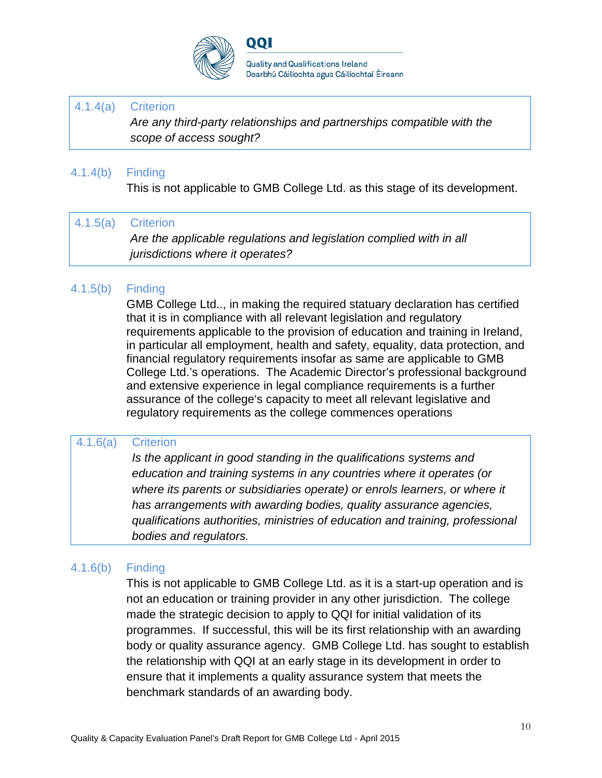

QQI

### 4.1.4(a) Criterion

*Are any third-party relationships and partnerships compatible with the scope of access sought?*

## 4.1.4(b) Finding

This is not applicable to GMB College Ltd. as this stage of its development.

## 4.1.5(a) Criterion

*Are the applicable regulations and legislation complied with in all jurisdictions where it operates?*

## 4.1.5(b) Finding

GMB College Ltd.., in making the required statuary declaration has certified that it is in compliance with all relevant legislation and regulatory requirements applicable to the provision of education and training in Ireland, in particular all employment, health and safety, equality, data protection, and financial regulatory requirements insofar as same are applicable to GMB College Ltd.'s operations. The Academic Director's professional background and extensive experience in legal compliance requirements is a further assurance of the college's capacity to meet all relevant legislative and regulatory requirements as the college commences operations

### 4.1.6(a) Criterion

*Is the applicant in good standing in the qualifications systems and education and training systems in any countries where it operates (or where its parents or subsidiaries operate) or enrols learners, or where it has arrangements with awarding bodies, quality assurance agencies, qualifications authorities, ministries of education and training, professional bodies and regulators.*

### 4.1.6(b) Finding

This is not applicable to GMB College Ltd. as it is a start-up operation and is not an education or training provider in any other jurisdiction. The college made the strategic decision to apply to QQI for initial validation of its programmes. If successful, this will be its first relationship with an awarding body or quality assurance agency. GMB College Ltd. has sought to establish the relationship with QQI at an early stage in its development in order to ensure that it implements a quality assurance system that meets the benchmark standards of an awarding body.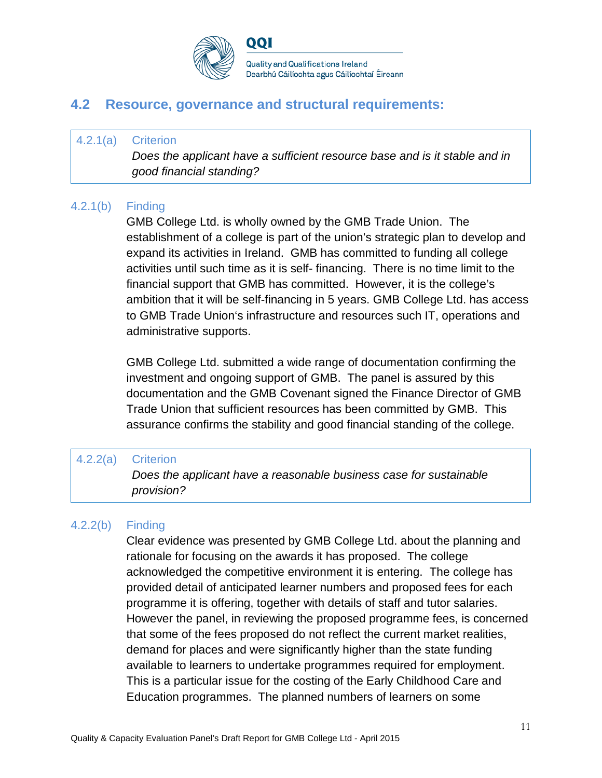

## **4.2 Resource, governance and structural requirements:**

#### 4.2.1(a) Criterion

*Does the applicant have a sufficient resource base and is it stable and in good financial standing?*

### 4.2.1(b) Finding

GMB College Ltd. is wholly owned by the GMB Trade Union. The establishment of a college is part of the union's strategic plan to develop and expand its activities in Ireland. GMB has committed to funding all college activities until such time as it is self- financing. There is no time limit to the financial support that GMB has committed. However, it is the college's ambition that it will be self-financing in 5 years. GMB College Ltd. has access to GMB Trade Union's infrastructure and resources such IT, operations and administrative supports.

GMB College Ltd. submitted a wide range of documentation confirming the investment and ongoing support of GMB. The panel is assured by this documentation and the GMB Covenant signed the Finance Director of GMB Trade Union that sufficient resources has been committed by GMB. This assurance confirms the stability and good financial standing of the college.

#### 4.2.2(a) Criterion

*Does the applicant have a reasonable business case for sustainable provision?*

### 4.2.2(b) Finding

Clear evidence was presented by GMB College Ltd. about the planning and rationale for focusing on the awards it has proposed. The college acknowledged the competitive environment it is entering. The college has provided detail of anticipated learner numbers and proposed fees for each programme it is offering, together with details of staff and tutor salaries. However the panel, in reviewing the proposed programme fees, is concerned that some of the fees proposed do not reflect the current market realities, demand for places and were significantly higher than the state funding available to learners to undertake programmes required for employment. This is a particular issue for the costing of the Early Childhood Care and Education programmes. The planned numbers of learners on some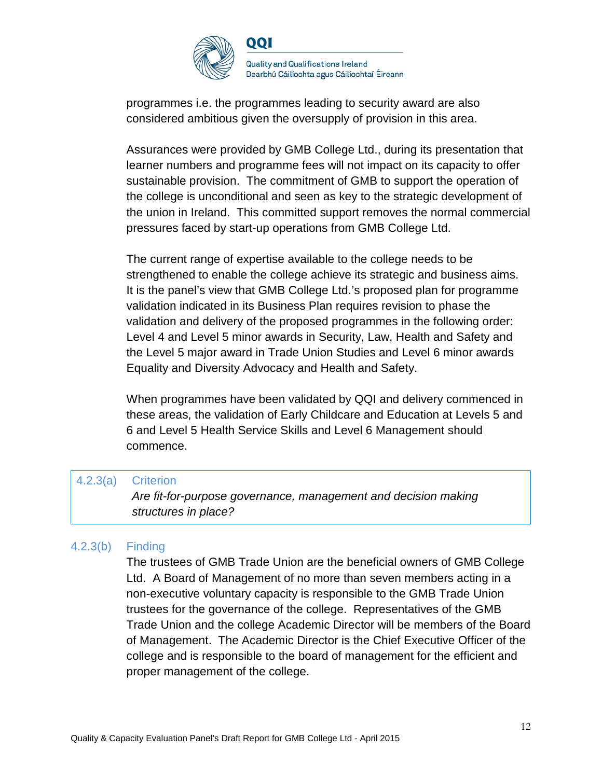

programmes i.e. the programmes leading to security award are also considered ambitious given the oversupply of provision in this area.

Assurances were provided by GMB College Ltd., during its presentation that learner numbers and programme fees will not impact on its capacity to offer sustainable provision. The commitment of GMB to support the operation of the college is unconditional and seen as key to the strategic development of the union in Ireland. This committed support removes the normal commercial pressures faced by start-up operations from GMB College Ltd.

The current range of expertise available to the college needs to be strengthened to enable the college achieve its strategic and business aims. It is the panel's view that GMB College Ltd.'s proposed plan for programme validation indicated in its Business Plan requires revision to phase the validation and delivery of the proposed programmes in the following order: Level 4 and Level 5 minor awards in Security, Law, Health and Safety and the Level 5 major award in Trade Union Studies and Level 6 minor awards Equality and Diversity Advocacy and Health and Safety.

When programmes have been validated by QQI and delivery commenced in these areas, the validation of Early Childcare and Education at Levels 5 and 6 and Level 5 Health Service Skills and Level 6 Management should commence.

#### 4.2.3(a) Criterion

*Are fit-for-purpose governance, management and decision making structures in place?*

### 4.2.3(b) Finding

The trustees of GMB Trade Union are the beneficial owners of GMB College Ltd. A Board of Management of no more than seven members acting in a non-executive voluntary capacity is responsible to the GMB Trade Union trustees for the governance of the college. Representatives of the GMB Trade Union and the college Academic Director will be members of the Board of Management. The Academic Director is the Chief Executive Officer of the college and is responsible to the board of management for the efficient and proper management of the college.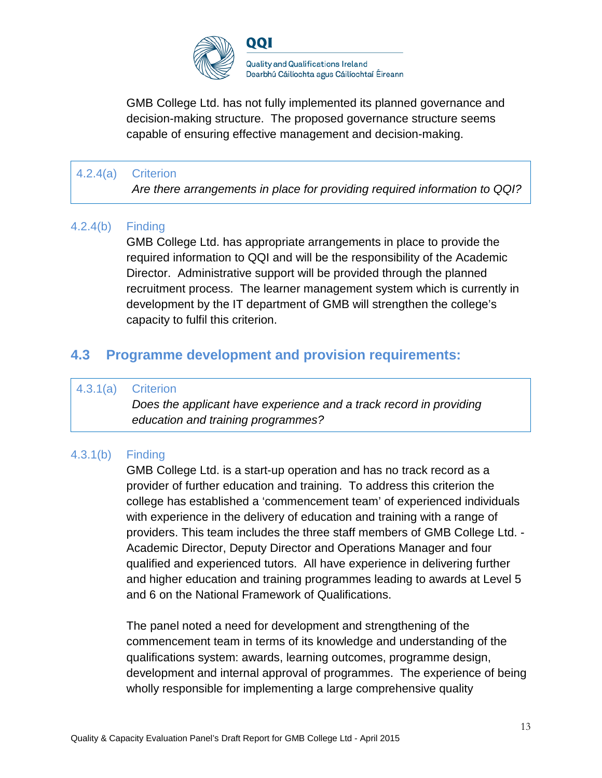

GMB College Ltd. has not fully implemented its planned governance and decision-making structure. The proposed governance structure seems capable of ensuring effective management and decision-making.

## 4.2.4(a) Criterion

*Are there arrangements in place for providing required information to QQI?*

### 4.2.4(b) Finding

GMB College Ltd. has appropriate arrangements in place to provide the required information to QQI and will be the responsibility of the Academic Director. Administrative support will be provided through the planned recruitment process. The learner management system which is currently in development by the IT department of GMB will strengthen the college's capacity to fulfil this criterion.

## **4.3 Programme development and provision requirements:**

#### 4.3.1(a) Criterion

*Does the applicant have experience and a track record in providing education and training programmes?*

## 4.3.1(b) Finding

GMB College Ltd. is a start-up operation and has no track record as a provider of further education and training. To address this criterion the college has established a 'commencement team' of experienced individuals with experience in the delivery of education and training with a range of providers. This team includes the three staff members of GMB College Ltd. - Academic Director, Deputy Director and Operations Manager and four qualified and experienced tutors. All have experience in delivering further and higher education and training programmes leading to awards at Level 5 and 6 on the National Framework of Qualifications.

The panel noted a need for development and strengthening of the commencement team in terms of its knowledge and understanding of the qualifications system: awards, learning outcomes, programme design, development and internal approval of programmes. The experience of being wholly responsible for implementing a large comprehensive quality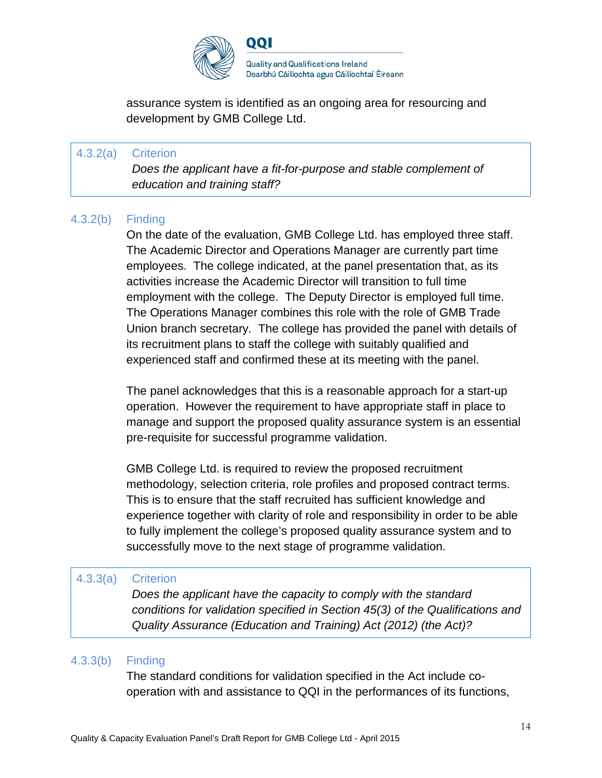

assurance system is identified as an ongoing area for resourcing and development by GMB College Ltd.

## 4.3.2(a) Criterion *Does the applicant have a fit-for-purpose and stable complement of education and training staff?*

#### 4.3.2(b) Finding

On the date of the evaluation, GMB College Ltd. has employed three staff. The Academic Director and Operations Manager are currently part time employees. The college indicated, at the panel presentation that, as its activities increase the Academic Director will transition to full time employment with the college. The Deputy Director is employed full time. The Operations Manager combines this role with the role of GMB Trade Union branch secretary. The college has provided the panel with details of its recruitment plans to staff the college with suitably qualified and experienced staff and confirmed these at its meeting with the panel.

The panel acknowledges that this is a reasonable approach for a start-up operation. However the requirement to have appropriate staff in place to manage and support the proposed quality assurance system is an essential pre-requisite for successful programme validation.

GMB College Ltd. is required to review the proposed recruitment methodology, selection criteria, role profiles and proposed contract terms. This is to ensure that the staff recruited has sufficient knowledge and experience together with clarity of role and responsibility in order to be able to fully implement the college's proposed quality assurance system and to successfully move to the next stage of programme validation.

#### 4.3.3(a) Criterion

*Does the applicant have the capacity to comply with the standard conditions for validation specified in Section 45(3) of the Qualifications and Quality Assurance (Education and Training) Act (2012) (the Act)?*

### 4.3.3(b) Finding

The standard conditions for validation specified in the Act include cooperation with and assistance to QQI in the performances of its functions,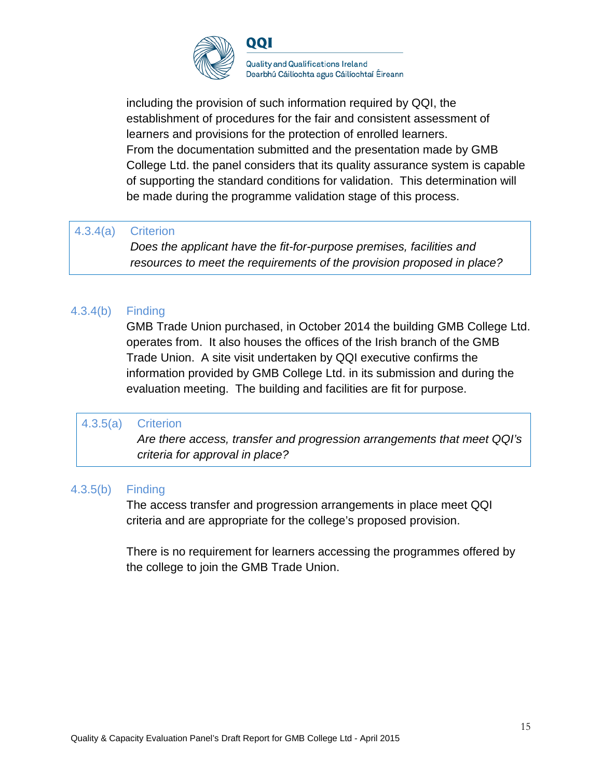

including the provision of such information required by QQI, the establishment of procedures for the fair and consistent assessment of learners and provisions for the protection of enrolled learners. From the documentation submitted and the presentation made by GMB College Ltd. the panel considers that its quality assurance system is capable of supporting the standard conditions for validation. This determination will be made during the programme validation stage of this process.

#### 4.3.4(a) Criterion

*Does the applicant have the fit-for-purpose premises, facilities and resources to meet the requirements of the provision proposed in place?*

## 4.3.4(b) Finding

GMB Trade Union purchased, in October 2014 the building GMB College Ltd. operates from. It also houses the offices of the Irish branch of the GMB Trade Union. A site visit undertaken by QQI executive confirms the information provided by GMB College Ltd. in its submission and during the evaluation meeting. The building and facilities are fit for purpose.

#### 4.3.5(a) Criterion

*Are there access, transfer and progression arrangements that meet QQI's criteria for approval in place?*

### 4.3.5(b) Finding

The access transfer and progression arrangements in place meet QQI criteria and are appropriate for the college's proposed provision.

There is no requirement for learners accessing the programmes offered by the college to join the GMB Trade Union.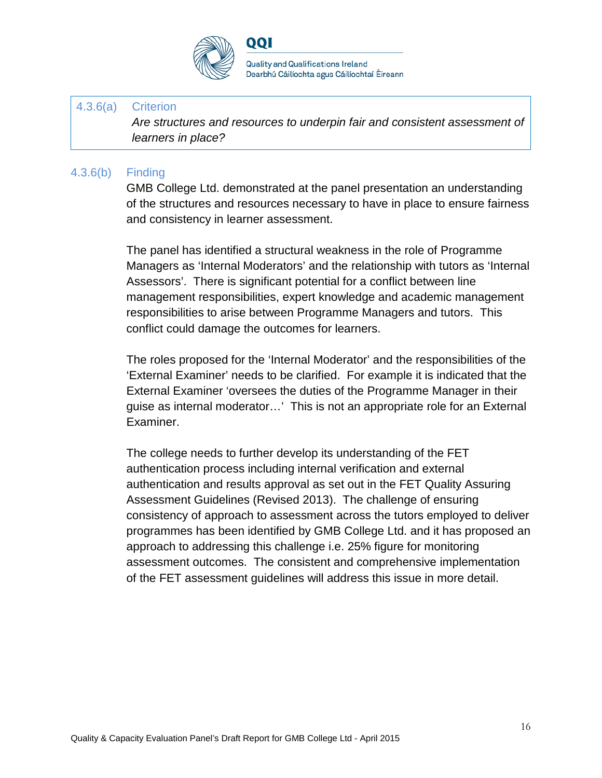

QQI

**Quality and Qualifications Ireland** Dearbhú Cáilíochta agus Cáilíochtaí Éireann

#### 4.3.6(a) Criterion

*Are structures and resources to underpin fair and consistent assessment of learners in place?*

#### 4.3.6(b) Finding

GMB College Ltd. demonstrated at the panel presentation an understanding of the structures and resources necessary to have in place to ensure fairness and consistency in learner assessment.

The panel has identified a structural weakness in the role of Programme Managers as 'Internal Moderators' and the relationship with tutors as 'Internal Assessors'. There is significant potential for a conflict between line management responsibilities, expert knowledge and academic management responsibilities to arise between Programme Managers and tutors. This conflict could damage the outcomes for learners.

The roles proposed for the 'Internal Moderator' and the responsibilities of the 'External Examiner' needs to be clarified. For example it is indicated that the External Examiner 'oversees the duties of the Programme Manager in their guise as internal moderator…' This is not an appropriate role for an External Examiner.

The college needs to further develop its understanding of the FET authentication process including internal verification and external authentication and results approval as set out in the FET Quality Assuring Assessment Guidelines (Revised 2013). The challenge of ensuring consistency of approach to assessment across the tutors employed to deliver programmes has been identified by GMB College Ltd. and it has proposed an approach to addressing this challenge i.e. 25% figure for monitoring assessment outcomes. The consistent and comprehensive implementation of the FET assessment guidelines will address this issue in more detail.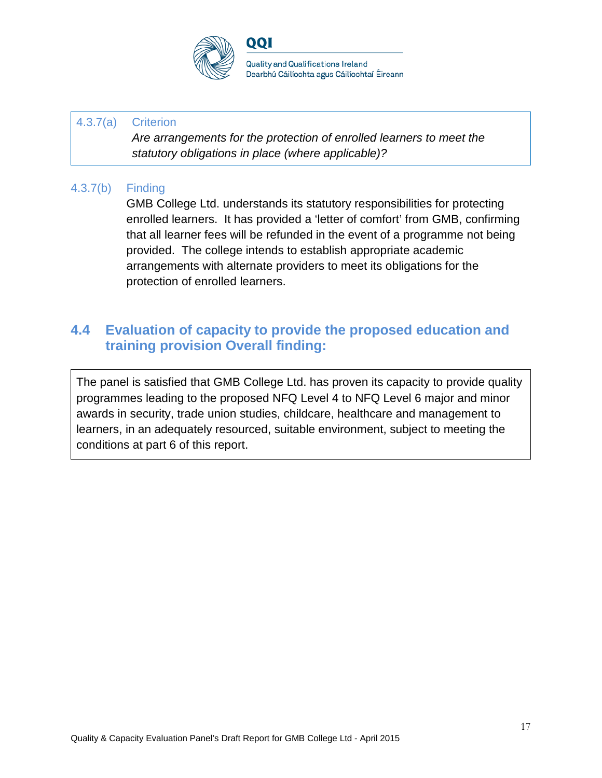

### 4.3.7(a) Criterion

*Are arrangements for the protection of enrolled learners to meet the statutory obligations in place (where applicable)?*

## 4.3.7(b) Finding

GMB College Ltd. understands its statutory responsibilities for protecting enrolled learners. It has provided a 'letter of comfort' from GMB, confirming that all learner fees will be refunded in the event of a programme not being provided. The college intends to establish appropriate academic arrangements with alternate providers to meet its obligations for the protection of enrolled learners.

# **4.4 Evaluation of capacity to provide the proposed education and training provision Overall finding:**

The panel is satisfied that GMB College Ltd. has proven its capacity to provide quality programmes leading to the proposed NFQ Level 4 to NFQ Level 6 major and minor awards in security, trade union studies, childcare, healthcare and management to learners, in an adequately resourced, suitable environment, subject to meeting the conditions at part 6 of this report.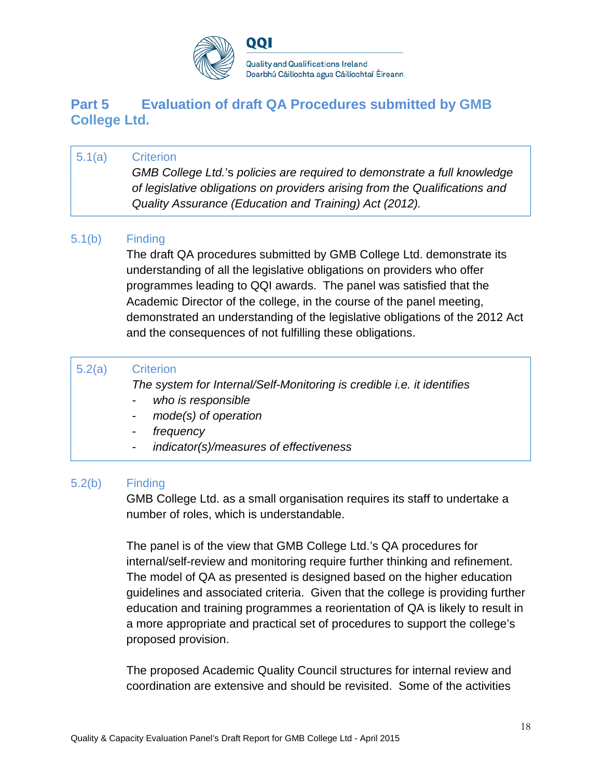

**Quality and Qualifications Ireland** Dearbhú Cáilíochta agus Cáilíochtaí Éireann

## **Part 5 Evaluation of draft QA Procedures submitted by GMB College Ltd.**

## 5.1(a) Criterion

*GMB College Ltd.*'s *policies are required to demonstrate a full knowledge of legislative obligations on providers arising from the Qualifications and Quality Assurance (Education and Training) Act (2012).*

## 5.1(b) Finding

The draft QA procedures submitted by GMB College Ltd. demonstrate its understanding of all the legislative obligations on providers who offer programmes leading to QQI awards. The panel was satisfied that the Academic Director of the college, in the course of the panel meeting, demonstrated an understanding of the legislative obligations of the 2012 Act and the consequences of not fulfilling these obligations.

### 5.2(a) Criterion

*The system for Internal/Self-Monitoring is credible i.e. it identifies*

- *- who is responsible*
- *- mode(s) of operation*
- *- frequency*
- *- indicator(s)/measures of effectiveness*

### 5.2(b) Finding

GMB College Ltd. as a small organisation requires its staff to undertake a number of roles, which is understandable.

The panel is of the view that GMB College Ltd.'s QA procedures for internal/self-review and monitoring require further thinking and refinement. The model of QA as presented is designed based on the higher education guidelines and associated criteria. Given that the college is providing further education and training programmes a reorientation of QA is likely to result in a more appropriate and practical set of procedures to support the college's proposed provision.

The proposed Academic Quality Council structures for internal review and coordination are extensive and should be revisited. Some of the activities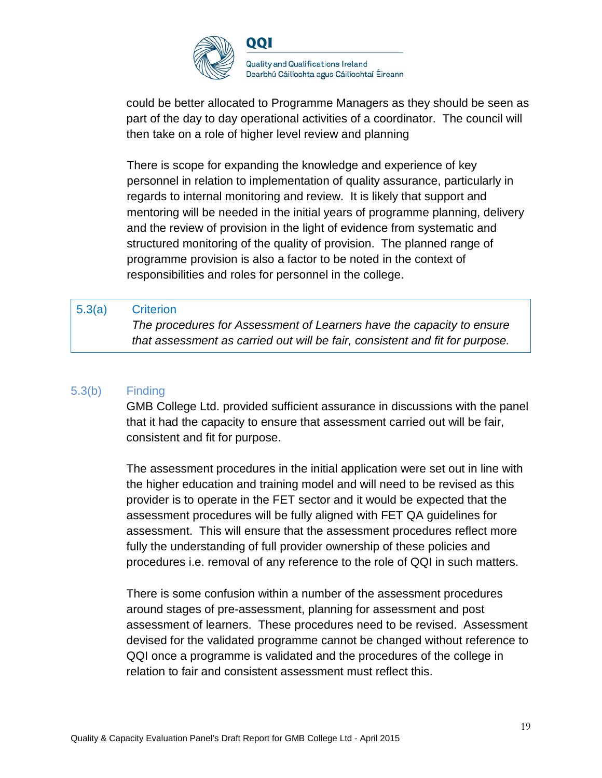

could be better allocated to Programme Managers as they should be seen as part of the day to day operational activities of a coordinator. The council will then take on a role of higher level review and planning

There is scope for expanding the knowledge and experience of key personnel in relation to implementation of quality assurance, particularly in regards to internal monitoring and review. It is likely that support and mentoring will be needed in the initial years of programme planning, delivery and the review of provision in the light of evidence from systematic and structured monitoring of the quality of provision. The planned range of programme provision is also a factor to be noted in the context of responsibilities and roles for personnel in the college.

#### 5.3(a) Criterion

*The procedures for Assessment of Learners have the capacity to ensure that assessment as carried out will be fair, consistent and fit for purpose.*

#### 5.3(b) Finding

GMB College Ltd. provided sufficient assurance in discussions with the panel that it had the capacity to ensure that assessment carried out will be fair, consistent and fit for purpose.

The assessment procedures in the initial application were set out in line with the higher education and training model and will need to be revised as this provider is to operate in the FET sector and it would be expected that the assessment procedures will be fully aligned with FET QA guidelines for assessment. This will ensure that the assessment procedures reflect more fully the understanding of full provider ownership of these policies and procedures i.e. removal of any reference to the role of QQI in such matters.

There is some confusion within a number of the assessment procedures around stages of pre-assessment, planning for assessment and post assessment of learners. These procedures need to be revised. Assessment devised for the validated programme cannot be changed without reference to QQI once a programme is validated and the procedures of the college in relation to fair and consistent assessment must reflect this.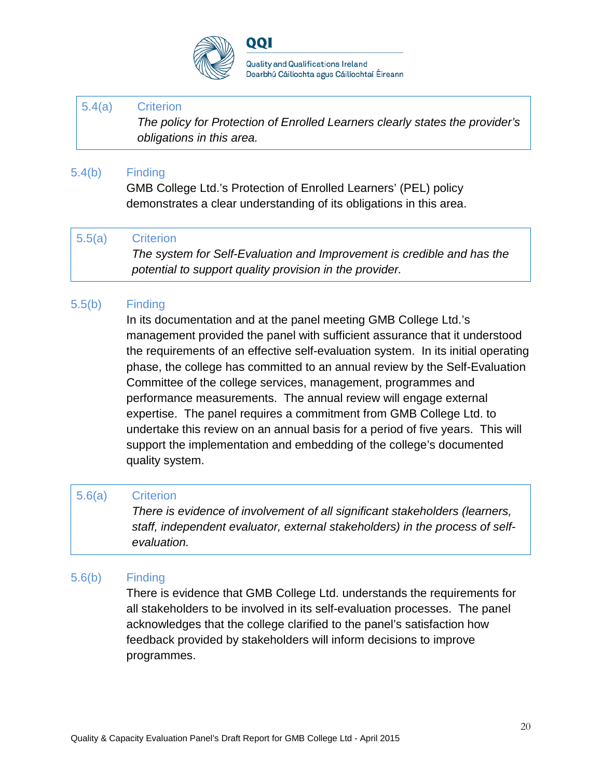

QQI

**Quality and Qualifications Ireland** Dearbhú Cáilíochta agus Cáilíochtaí Éireann

#### 5.4(a) Criterion

*The policy for Protection of Enrolled Learners clearly states the provider's obligations in this area.*

#### 5.4(b) Finding

GMB College Ltd.'s Protection of Enrolled Learners' (PEL) policy demonstrates a clear understanding of its obligations in this area.

#### 5.5(a) Criterion

*The system for Self-Evaluation and Improvement is credible and has the potential to support quality provision in the provider.*

#### 5.5(b) Finding

In its documentation and at the panel meeting GMB College Ltd.'s management provided the panel with sufficient assurance that it understood the requirements of an effective self-evaluation system. In its initial operating phase, the college has committed to an annual review by the Self-Evaluation Committee of the college services, management, programmes and performance measurements. The annual review will engage external expertise. The panel requires a commitment from GMB College Ltd. to undertake this review on an annual basis for a period of five years. This will support the implementation and embedding of the college's documented quality system.

#### 5.6(a) Criterion

*There is evidence of involvement of all significant stakeholders (learners, staff, independent evaluator, external stakeholders) in the process of selfevaluation.*

### 5.6(b) Finding

There is evidence that GMB College Ltd. understands the requirements for all stakeholders to be involved in its self-evaluation processes. The panel acknowledges that the college clarified to the panel's satisfaction how feedback provided by stakeholders will inform decisions to improve programmes.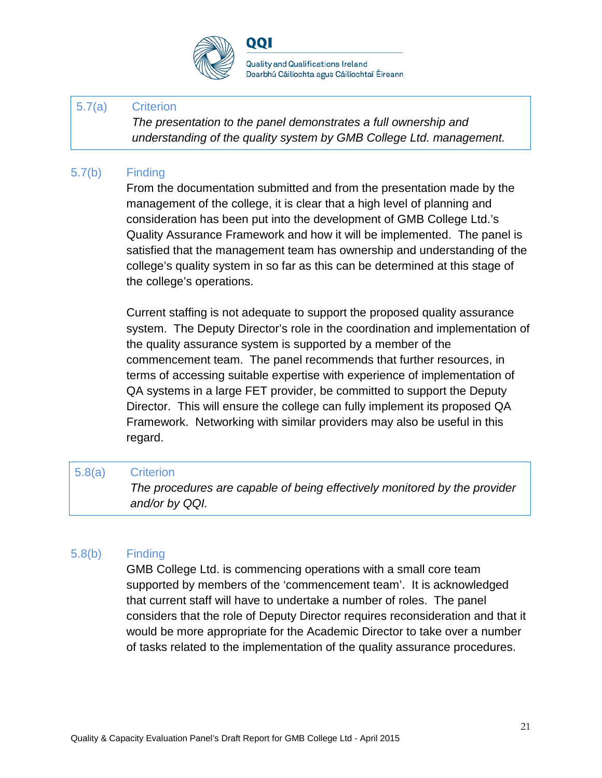

QQI

**Quality and Qualifications Ireland** Dearbhú Cáilíochta agus Cáilíochtaí Éireann

### 5.7(a) Criterion

*The presentation to the panel demonstrates a full ownership and understanding of the quality system by GMB College Ltd. management.*

### 5.7(b) Finding

From the documentation submitted and from the presentation made by the management of the college, it is clear that a high level of planning and consideration has been put into the development of GMB College Ltd.'s Quality Assurance Framework and how it will be implemented. The panel is satisfied that the management team has ownership and understanding of the college's quality system in so far as this can be determined at this stage of the college's operations.

Current staffing is not adequate to support the proposed quality assurance system. The Deputy Director's role in the coordination and implementation of the quality assurance system is supported by a member of the commencement team. The panel recommends that further resources, in terms of accessing suitable expertise with experience of implementation of QA systems in a large FET provider, be committed to support the Deputy Director. This will ensure the college can fully implement its proposed QA Framework. Networking with similar providers may also be useful in this regard.

#### 5.8(a) Criterion

*The procedures are capable of being effectively monitored by the provider and/or by QQI.*

### 5.8(b) Finding

GMB College Ltd. is commencing operations with a small core team supported by members of the 'commencement team'. It is acknowledged that current staff will have to undertake a number of roles. The panel considers that the role of Deputy Director requires reconsideration and that it would be more appropriate for the Academic Director to take over a number of tasks related to the implementation of the quality assurance procedures.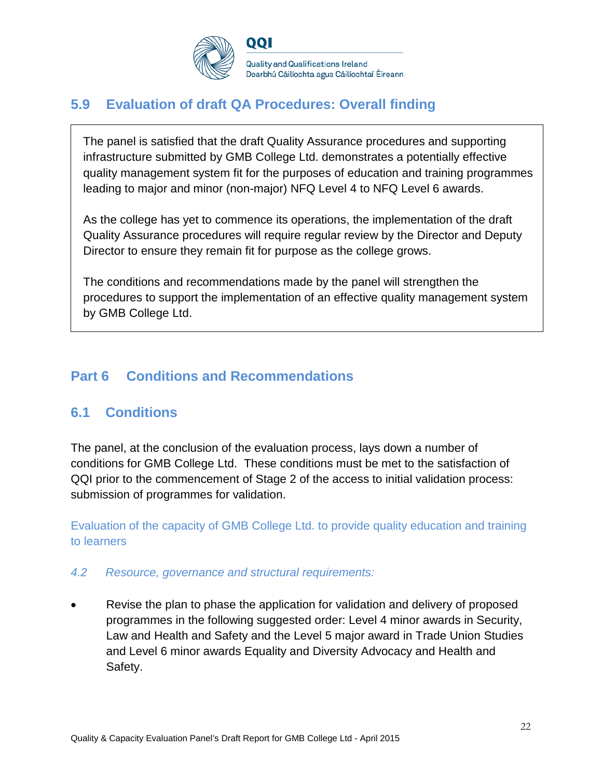

#### **Quality and Qualifications Ireland** Dearbhú Cáilíochta agus Cáilíochtaí Éireann

# **5.9 Evaluation of draft QA Procedures: Overall finding**

The panel is satisfied that the draft Quality Assurance procedures and supporting infrastructure submitted by GMB College Ltd. demonstrates a potentially effective quality management system fit for the purposes of education and training programmes leading to major and minor (non-major) NFQ Level 4 to NFQ Level 6 awards.

As the college has yet to commence its operations, the implementation of the draft Quality Assurance procedures will require regular review by the Director and Deputy Director to ensure they remain fit for purpose as the college grows.

The conditions and recommendations made by the panel will strengthen the procedures to support the implementation of an effective quality management system by GMB College Ltd.

# **Part 6 Conditions and Recommendations**

# **6.1 Conditions**

The panel, at the conclusion of the evaluation process, lays down a number of conditions for GMB College Ltd. These conditions must be met to the satisfaction of QQI prior to the commencement of Stage 2 of the access to initial validation process: submission of programmes for validation.

Evaluation of the capacity of GMB College Ltd. to provide quality education and training to learners

## *4.2 Resource, governance and structural requirements:*

• Revise the plan to phase the application for validation and delivery of proposed programmes in the following suggested order: Level 4 minor awards in Security, Law and Health and Safety and the Level 5 major award in Trade Union Studies and Level 6 minor awards Equality and Diversity Advocacy and Health and Safety.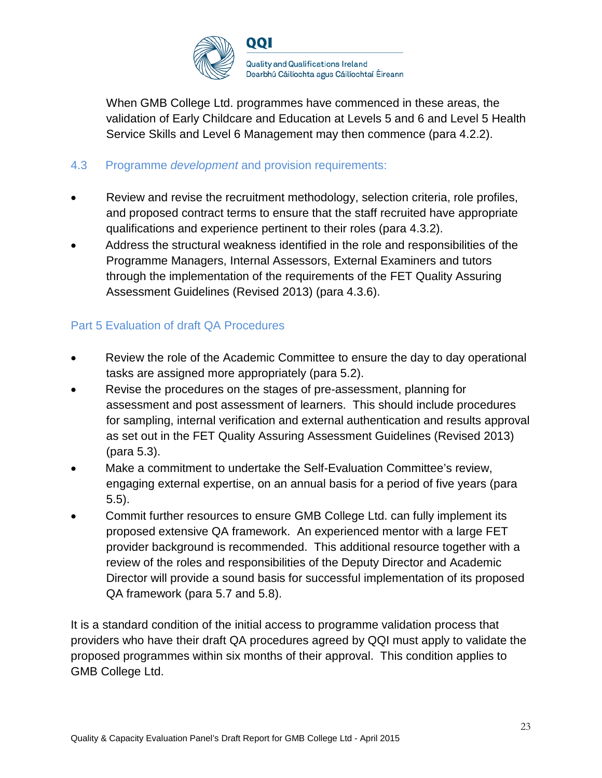

When GMB College Ltd. programmes have commenced in these areas, the validation of Early Childcare and Education at Levels 5 and 6 and Level 5 Health Service Skills and Level 6 Management may then commence (para 4.2.2).

#### 4.3 Programme *development* and provision requirements:

- Review and revise the recruitment methodology, selection criteria, role profiles, and proposed contract terms to ensure that the staff recruited have appropriate qualifications and experience pertinent to their roles (para 4.3.2).
- Address the structural weakness identified in the role and responsibilities of the Programme Managers, Internal Assessors, External Examiners and tutors through the implementation of the requirements of the FET Quality Assuring Assessment Guidelines (Revised 2013) (para 4.3.6).

#### Part 5 Evaluation of draft QA Procedures

- Review the role of the Academic Committee to ensure the day to day operational tasks are assigned more appropriately (para 5.2).
- Revise the procedures on the stages of pre-assessment, planning for assessment and post assessment of learners. This should include procedures for sampling, internal verification and external authentication and results approval as set out in the FET Quality Assuring Assessment Guidelines (Revised 2013) (para 5.3).
- Make a commitment to undertake the Self-Evaluation Committee's review, engaging external expertise, on an annual basis for a period of five years (para 5.5).
- Commit further resources to ensure GMB College Ltd. can fully implement its proposed extensive QA framework. An experienced mentor with a large FET provider background is recommended. This additional resource together with a review of the roles and responsibilities of the Deputy Director and Academic Director will provide a sound basis for successful implementation of its proposed QA framework (para 5.7 and 5.8).

It is a standard condition of the initial access to programme validation process that providers who have their draft QA procedures agreed by QQI must apply to validate the proposed programmes within six months of their approval. This condition applies to GMB College Ltd.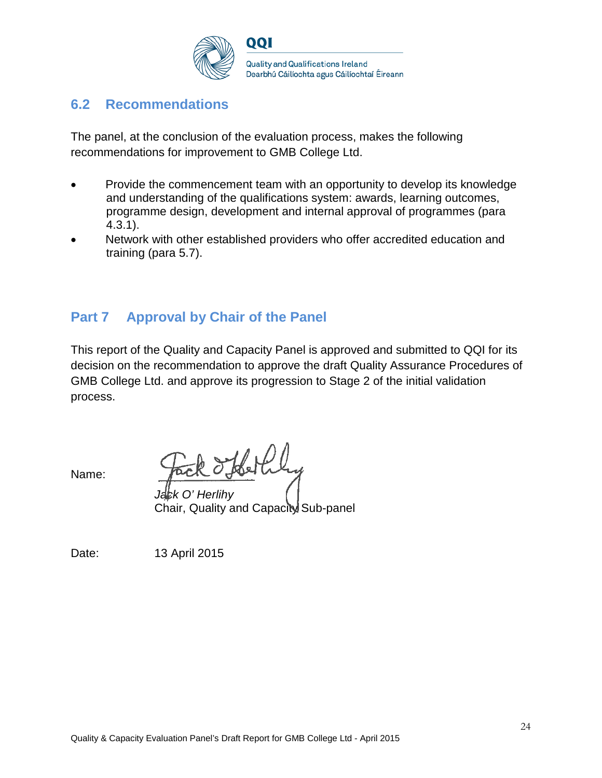

## **6.2 Recommendations**

The panel, at the conclusion of the evaluation process, makes the following recommendations for improvement to GMB College Ltd.

- Provide the commencement team with an opportunity to develop its knowledge and understanding of the qualifications system: awards, learning outcomes, programme design, development and internal approval of programmes (para 4.3.1).
- Network with other established providers who offer accredited education and training (para 5.7).

# **Part 7 Approval by Chair of the Panel**

This report of the Quality and Capacity Panel is approved and submitted to QQI for its decision on the recommendation to approve the draft Quality Assurance Procedures of GMB College Ltd. and approve its progression to Stage 2 of the initial validation process.

Name:

*Jack O' Herlihy* Chair, Quality and Capacity Sub-panel

Date: 13 April 2015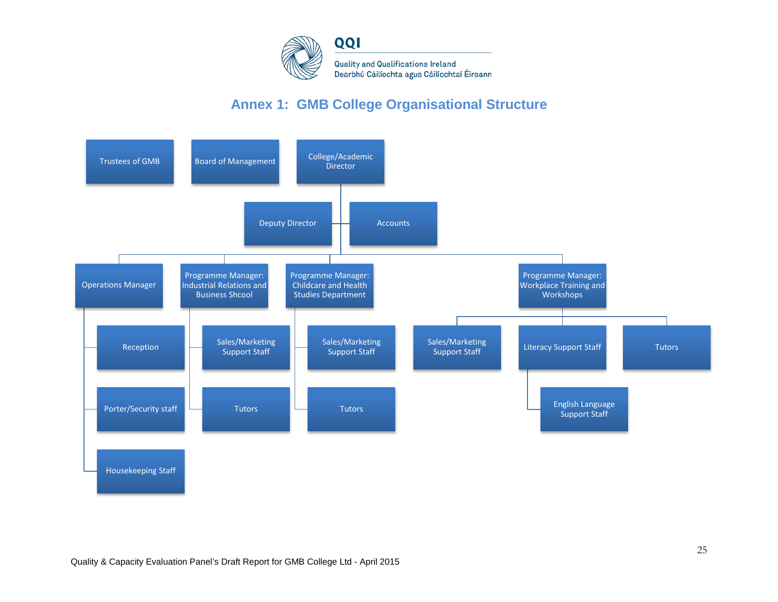

# **Annex 1: GMB College Organisational Structure**